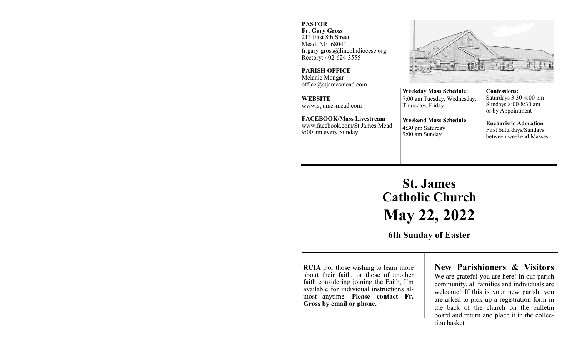### **PASTOR**

**Fr. Gary Gross** 213 East 8th Street Mead, NE 68041 fr.gary-gross@lincolndiocese.org Rectory: 402-624-3555

**PARISH OFFICE** Melanie Mongar office@stjamesmead.com

**WEBSITE** www.stjamesmead.com

**FACEBOOK/Mass Livestream** [www.facebook.com/St.James.Mead](https://www.facebook.com/St.James.Mead/) 9:00 am every Sunday

**Confessions:**  Saturdays 3:30-4:00 pm Sundays 8:00-8:30 am or by Appointment

**Eucharistic Adoration**  First Saturdays/Sundays between weekend Masses.

# **St. James Catholic Church May 22, 2022**

**Weekday Mass Schedule:**  7:00 am Tuesday, Wednesday,

**Weekend Mass Schedule**

Thursday, Friday

4:30 pm Saturday 9:00 am Sunday

**6th Sunday of Easter**

**RCIA** For those wishing to learn more about their faith, or those of another faith considering joining the Faith, I'm available for individual instructions almost anytime. **Please contact Fr. Gross by email or phone.**

# **New Parishioners & Visitors**

We are grateful you are here! In our parish community, all families and individuals are welcome! If this is your new parish, you are asked to pick up a registration form in the back of the church on the bulletin board and return and place it in the collection basket.